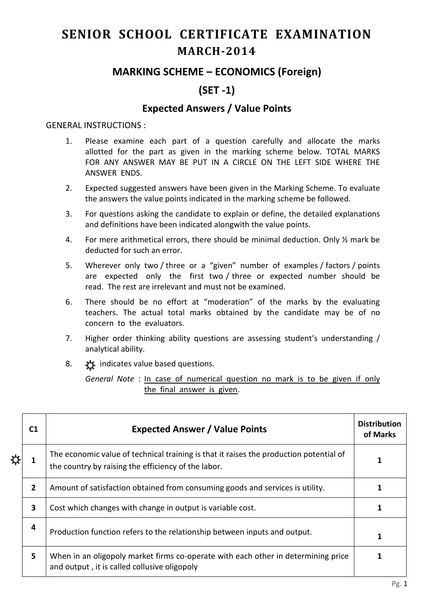# **SENIOR SCHOOL CERTIFICATE EXAMINATION MARCH-2014**

## **MARKING SCHEME – ECONOMICS (Foreign)**

# **(SET -1)**

### **Expected Answers / Value Points**

#### GENERAL INSTRUCTIONS :

- 1. Please examine each part of a question carefully and allocate the marks allotted for the part as given in the marking scheme below. TOTAL MARKS FOR ANY ANSWER MAY BE PUT IN A CIRCLE ON THE LEFT SIDE WHERE THE ANSWER ENDS.
- 2. Expected suggested answers have been given in the Marking Scheme. To evaluate the answers the value points indicated in the marking scheme be followed.
- 3. For questions asking the candidate to explain or define, the detailed explanations and definitions have been indicated alongwith the value points.
- 4. For mere arithmetical errors, there should be minimal deduction. Only ½ mark be deducted for such an error.
- 5. Wherever only two / three or a "given" number of examples / factors / points are expected only the first two / three or expected number should be read. The rest are irrelevant and must not be examined.
- 6. There should be no effort at "moderation" of the marks by the evaluating teachers. The actual total marks obtained by the candidate may be of no concern to the evaluators.
- 7. Higher order thinking ability questions are assessing student's understanding / analytical ability.
- 8.  $\frac{1}{2}$  indicates value based questions.

*General Note* : In case of numerical question no mark is to be given if only the final answer is given.

|   | C1           | <b>Expected Answer / Value Points</b>                                                                                                         | <b>Distribution</b><br>of Marks |
|---|--------------|-----------------------------------------------------------------------------------------------------------------------------------------------|---------------------------------|
| ☆ |              | The economic value of technical training is that it raises the production potential of<br>the country by raising the efficiency of the labor. |                                 |
|   | $\mathbf{2}$ | Amount of satisfaction obtained from consuming goods and services is utility.                                                                 |                                 |
|   | 3            | Cost which changes with change in output is variable cost.                                                                                    |                                 |
|   | 4            | Production function refers to the relationship between inputs and output.                                                                     |                                 |
|   | 5            | When in an oligopoly market firms co-operate with each other in determining price<br>and output, it is called collusive oligopoly             |                                 |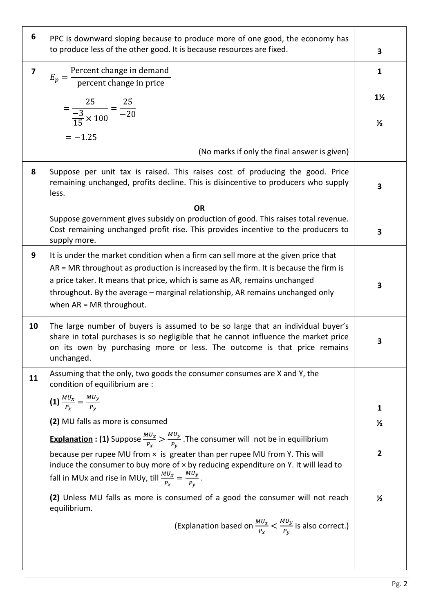| 6              | PPC is downward sloping because to produce more of one good, the economy has<br>to produce less of the other good. It is because resources are fixed.                                                                                                                                                                                                                   | 3              |
|----------------|-------------------------------------------------------------------------------------------------------------------------------------------------------------------------------------------------------------------------------------------------------------------------------------------------------------------------------------------------------------------------|----------------|
| $\overline{7}$ | $E_p = \frac{\text{Percent change in demand}}{\text{percent change in price}}$                                                                                                                                                                                                                                                                                          | $\mathbf{1}$   |
|                | $=\frac{25}{\frac{-3}{15} \times 100} = \frac{25}{-20}$                                                                                                                                                                                                                                                                                                                 | $1\frac{1}{2}$ |
|                | $=-1.25$                                                                                                                                                                                                                                                                                                                                                                | $\frac{1}{2}$  |
|                | (No marks if only the final answer is given)                                                                                                                                                                                                                                                                                                                            |                |
| 8              | Suppose per unit tax is raised. This raises cost of producing the good. Price<br>remaining unchanged, profits decline. This is disincentive to producers who supply<br>less.                                                                                                                                                                                            | 3              |
|                | <b>OR</b><br>Suppose government gives subsidy on production of good. This raises total revenue.<br>Cost remaining unchanged profit rise. This provides incentive to the producers to<br>supply more.                                                                                                                                                                    | 3              |
| 9              | It is under the market condition when a firm can sell more at the given price that<br>AR = MR throughout as production is increased by the firm. It is because the firm is<br>a price taker. It means that price, which is same as AR, remains unchanged<br>throughout. By the average - marginal relationship, AR remains unchanged only<br>when $AR = MR$ throughout. | 3              |
| 10             | The large number of buyers is assumed to be so large that an individual buyer's<br>share in total purchases is so negligible that he cannot influence the market price<br>on its own by purchasing more or less. The outcome is that price remains<br>unchanged.                                                                                                        | 3              |
| 11             | Assuming that the only, two goods the consumer consumes are X and Y, the<br>condition of equilibrium are :                                                                                                                                                                                                                                                              |                |
|                | (1) $\frac{MU_x}{P_x} = \frac{MU_y}{P_y}$                                                                                                                                                                                                                                                                                                                               | $\mathbf{1}$   |
|                | (2) MU falls as more is consumed                                                                                                                                                                                                                                                                                                                                        | $\frac{1}{2}$  |
|                | <b>Explanation : (1)</b> Suppose $\frac{M U_x}{P_x} > \frac{M U_y}{P_y}$ . The consumer will not be in equilibrium                                                                                                                                                                                                                                                      |                |
|                | because per rupee MU from $\times$ is greater than per rupee MU from Y. This will<br>induce the consumer to buy more of $\times$ by reducing expenditure on Y. It will lead to<br>fall in MUx and rise in MUy, till $\frac{M U_x}{P_x} = \frac{M U_y}{P_y}$ .                                                                                                           | $\overline{2}$ |
|                | (2) Unless MU falls as more is consumed of a good the consumer will not reach<br>equilibrium.                                                                                                                                                                                                                                                                           | $\frac{1}{2}$  |
|                | (Explanation based on $\frac{MU_x}{P_x} < \frac{MU_y}{P_y}$ is also correct.)                                                                                                                                                                                                                                                                                           |                |
|                |                                                                                                                                                                                                                                                                                                                                                                         |                |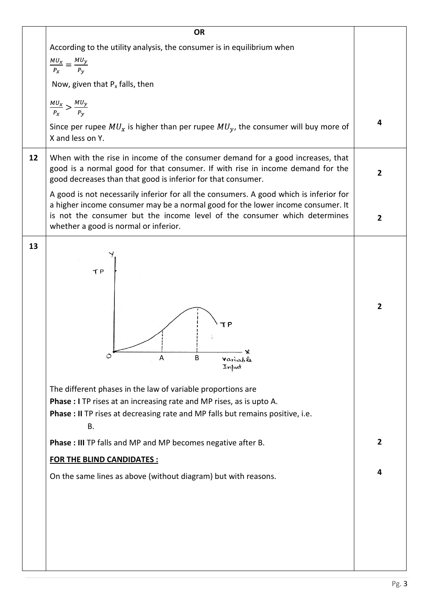|    | <b>OR</b>                                                                                                                                                                                                                                                                                       |                |  |  |  |  |  |  |
|----|-------------------------------------------------------------------------------------------------------------------------------------------------------------------------------------------------------------------------------------------------------------------------------------------------|----------------|--|--|--|--|--|--|
|    | According to the utility analysis, the consumer is in equilibrium when                                                                                                                                                                                                                          |                |  |  |  |  |  |  |
|    | $\frac{MU_x}{P_x} = \frac{MU_y}{P_y}$                                                                                                                                                                                                                                                           |                |  |  |  |  |  |  |
|    |                                                                                                                                                                                                                                                                                                 |                |  |  |  |  |  |  |
|    | Now, given that $P_x$ falls, then                                                                                                                                                                                                                                                               |                |  |  |  |  |  |  |
|    | $\frac{MU_x}{P_x} > \frac{MU_y}{P_y}$                                                                                                                                                                                                                                                           |                |  |  |  |  |  |  |
|    | Since per rupee $MU_x$ is higher than per rupee $MU_y$ , the consumer will buy more of<br>X and less on Y.                                                                                                                                                                                      | 4              |  |  |  |  |  |  |
| 12 | When with the rise in income of the consumer demand for a good increases, that<br>good is a normal good for that consumer. If with rise in income demand for the<br>good decreases than that good is inferior for that consumer.                                                                |                |  |  |  |  |  |  |
|    | A good is not necessarily inferior for all the consumers. A good which is inferior for<br>a higher income consumer may be a normal good for the lower income consumer. It<br>is not the consumer but the income level of the consumer which determines<br>whether a good is normal or inferior. |                |  |  |  |  |  |  |
| 13 | TP                                                                                                                                                                                                                                                                                              |                |  |  |  |  |  |  |
|    | Ο<br>A<br>B<br>Variable<br>Input                                                                                                                                                                                                                                                                | $\overline{2}$ |  |  |  |  |  |  |
|    | The different phases in the law of variable proportions are                                                                                                                                                                                                                                     |                |  |  |  |  |  |  |
|    | <b>Phase : I</b> TP rises at an increasing rate and MP rises, as is upto A.                                                                                                                                                                                                                     |                |  |  |  |  |  |  |
|    | Phase : II TP rises at decreasing rate and MP falls but remains positive, i.e.                                                                                                                                                                                                                  |                |  |  |  |  |  |  |
|    | B.                                                                                                                                                                                                                                                                                              |                |  |  |  |  |  |  |
|    | Phase : III TP falls and MP and MP becomes negative after B.                                                                                                                                                                                                                                    | $\overline{2}$ |  |  |  |  |  |  |
|    | <b>FOR THE BLIND CANDIDATES:</b>                                                                                                                                                                                                                                                                |                |  |  |  |  |  |  |
|    | On the same lines as above (without diagram) but with reasons.                                                                                                                                                                                                                                  | 4              |  |  |  |  |  |  |
|    |                                                                                                                                                                                                                                                                                                 |                |  |  |  |  |  |  |
|    |                                                                                                                                                                                                                                                                                                 |                |  |  |  |  |  |  |
|    |                                                                                                                                                                                                                                                                                                 |                |  |  |  |  |  |  |
|    |                                                                                                                                                                                                                                                                                                 |                |  |  |  |  |  |  |
|    |                                                                                                                                                                                                                                                                                                 |                |  |  |  |  |  |  |
|    |                                                                                                                                                                                                                                                                                                 |                |  |  |  |  |  |  |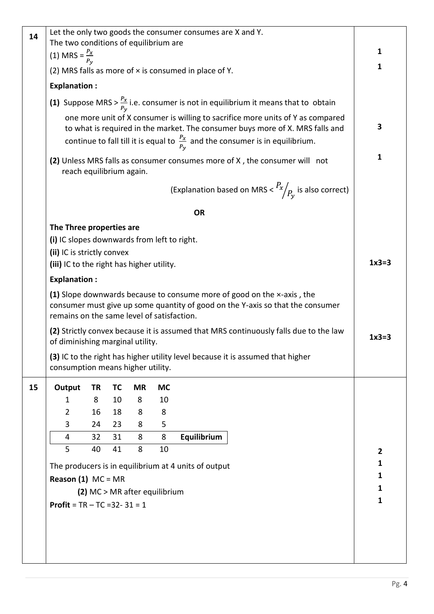| 14 |                                                                                                                                                                                                                                                                |    |           |                               |           | Let the only two goods the consumer consumes are X and Y.                                                                                                |                |  |
|----|----------------------------------------------------------------------------------------------------------------------------------------------------------------------------------------------------------------------------------------------------------------|----|-----------|-------------------------------|-----------|----------------------------------------------------------------------------------------------------------------------------------------------------------|----------------|--|
|    | The two conditions of equilibrium are                                                                                                                                                                                                                          |    |           |                               |           |                                                                                                                                                          |                |  |
|    | (1) MRS = $\frac{P_x}{P_y}$                                                                                                                                                                                                                                    |    |           |                               |           |                                                                                                                                                          | 1              |  |
|    |                                                                                                                                                                                                                                                                |    |           |                               |           | (2) MRS falls as more of $\times$ is consumed in place of Y.                                                                                             | $\mathbf{1}$   |  |
|    | <b>Explanation:</b>                                                                                                                                                                                                                                            |    |           |                               |           |                                                                                                                                                          |                |  |
|    | (1) Suppose MRS > $\frac{P_x}{P_v}$ i.e. consumer is not in equilibrium it means that to obtain                                                                                                                                                                |    |           |                               |           |                                                                                                                                                          |                |  |
|    | one more unit of X consumer is willing to sacrifice more units of Y as compared<br>to what is required in the market. The consumer buys more of X. MRS falls and<br>continue to fall till it is equal to $\frac{P_x}{P_v}$ and the consumer is in equilibrium. |    |           |                               |           |                                                                                                                                                          |                |  |
|    | (2) Unless MRS falls as consumer consumes more of X, the consumer will not<br>reach equilibrium again.                                                                                                                                                         |    |           |                               |           |                                                                                                                                                          |                |  |
|    |                                                                                                                                                                                                                                                                |    |           |                               |           | (Explanation based on MRS $\langle R_x / R_y \rangle$ is also correct)                                                                                   |                |  |
|    |                                                                                                                                                                                                                                                                |    |           |                               |           | <b>OR</b>                                                                                                                                                |                |  |
|    | The Three properties are                                                                                                                                                                                                                                       |    |           |                               |           |                                                                                                                                                          |                |  |
|    | (i) IC slopes downwards from left to right.                                                                                                                                                                                                                    |    |           |                               |           |                                                                                                                                                          |                |  |
|    | (ii) IC is strictly convex                                                                                                                                                                                                                                     |    |           |                               |           |                                                                                                                                                          |                |  |
|    | (iii) IC to the right has higher utility.                                                                                                                                                                                                                      |    |           |                               |           |                                                                                                                                                          | $1x3=3$        |  |
|    | <b>Explanation:</b>                                                                                                                                                                                                                                            |    |           |                               |           |                                                                                                                                                          |                |  |
|    | remains on the same level of satisfaction.                                                                                                                                                                                                                     |    |           |                               |           | (1) Slope downwards because to consume more of good on the x-axis, the<br>consumer must give up some quantity of good on the Y-axis so that the consumer |                |  |
|    | of diminishing marginal utility.                                                                                                                                                                                                                               |    |           |                               |           | (2) Strictly convex because it is assumed that MRS continuously falls due to the law                                                                     | $1x3=3$        |  |
|    | consumption means higher utility.                                                                                                                                                                                                                              |    |           |                               |           | (3) IC to the right has higher utility level because it is assumed that higher                                                                           |                |  |
| 15 | Output                                                                                                                                                                                                                                                         | TR | <b>TC</b> | <b>MR</b>                     | <b>MC</b> |                                                                                                                                                          |                |  |
|    | 1                                                                                                                                                                                                                                                              | 8  | 10        | 8                             | 10        |                                                                                                                                                          |                |  |
|    | $\overline{2}$                                                                                                                                                                                                                                                 | 16 | 18        | 8                             | 8         |                                                                                                                                                          |                |  |
|    | 3                                                                                                                                                                                                                                                              | 24 | 23        | 8                             | 5         |                                                                                                                                                          |                |  |
|    | 4                                                                                                                                                                                                                                                              | 32 | 31        | 8                             | 8         | Equilibrium                                                                                                                                              |                |  |
|    | 5                                                                                                                                                                                                                                                              | 40 | 41        | 8                             | 10        |                                                                                                                                                          | $\overline{2}$ |  |
|    |                                                                                                                                                                                                                                                                |    |           |                               |           | The producers is in equilibrium at 4 units of output                                                                                                     | 1              |  |
|    | <b>Reason (1)</b> $MC = MR$                                                                                                                                                                                                                                    |    |           |                               |           |                                                                                                                                                          | 1              |  |
|    |                                                                                                                                                                                                                                                                |    |           | (2) MC > MR after equilibrium |           |                                                                                                                                                          | 1              |  |
|    | <b>Profit</b> = $TR - TC = 32 - 31 = 1$                                                                                                                                                                                                                        |    |           |                               |           |                                                                                                                                                          | 1              |  |
|    |                                                                                                                                                                                                                                                                |    |           |                               |           |                                                                                                                                                          |                |  |
|    |                                                                                                                                                                                                                                                                |    |           |                               |           |                                                                                                                                                          |                |  |
|    |                                                                                                                                                                                                                                                                |    |           |                               |           |                                                                                                                                                          |                |  |
|    |                                                                                                                                                                                                                                                                |    |           |                               |           |                                                                                                                                                          |                |  |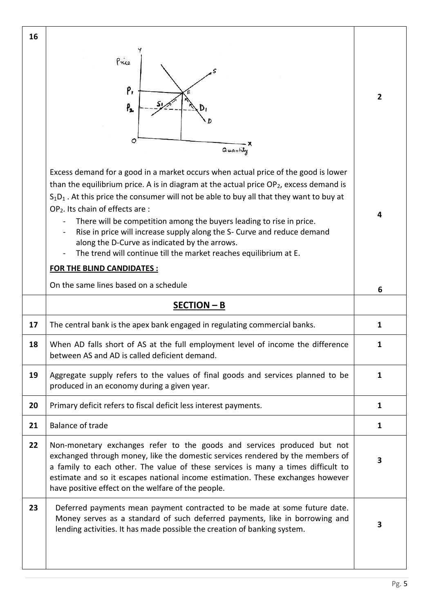| 16 |                                                                                                                                                                                                                                                                                                                                                                                                                                                                                                                                                                                                                                            |              |  |  |  |  |  |
|----|--------------------------------------------------------------------------------------------------------------------------------------------------------------------------------------------------------------------------------------------------------------------------------------------------------------------------------------------------------------------------------------------------------------------------------------------------------------------------------------------------------------------------------------------------------------------------------------------------------------------------------------------|--------------|--|--|--|--|--|
|    | Price<br>p,<br>Р,<br>Ð<br>0<br>Quantity                                                                                                                                                                                                                                                                                                                                                                                                                                                                                                                                                                                                    | $\mathbf{2}$ |  |  |  |  |  |
|    | Excess demand for a good in a market occurs when actual price of the good is lower<br>than the equilibrium price. A is in diagram at the actual price $OP_2$ , excess demand is<br>$S_1D_1$ . At this price the consumer will not be able to buy all that they want to buy at<br>OP <sub>2</sub> . Its chain of effects are :<br>There will be competition among the buyers leading to rise in price.<br>Rise in price will increase supply along the S- Curve and reduce demand<br>along the D-Curve as indicated by the arrows.<br>The trend will continue till the market reaches equilibrium at E.<br><b>FOR THE BLIND CANDIDATES:</b> | 4            |  |  |  |  |  |
|    | On the same lines based on a schedule                                                                                                                                                                                                                                                                                                                                                                                                                                                                                                                                                                                                      | 6            |  |  |  |  |  |
|    | $SECTION - B$                                                                                                                                                                                                                                                                                                                                                                                                                                                                                                                                                                                                                              |              |  |  |  |  |  |
|    |                                                                                                                                                                                                                                                                                                                                                                                                                                                                                                                                                                                                                                            |              |  |  |  |  |  |
| 17 | The central bank is the apex bank engaged in regulating commercial banks.                                                                                                                                                                                                                                                                                                                                                                                                                                                                                                                                                                  | 1            |  |  |  |  |  |
| 18 | When AD falls short of AS at the full employment level of income the difference<br>between AS and AD is called deficient demand.                                                                                                                                                                                                                                                                                                                                                                                                                                                                                                           | $\mathbf{1}$ |  |  |  |  |  |
| 19 | Aggregate supply refers to the values of final goods and services planned to be<br>produced in an economy during a given year.                                                                                                                                                                                                                                                                                                                                                                                                                                                                                                             | 1            |  |  |  |  |  |
| 20 | Primary deficit refers to fiscal deficit less interest payments.                                                                                                                                                                                                                                                                                                                                                                                                                                                                                                                                                                           | $\mathbf{1}$ |  |  |  |  |  |
| 21 | <b>Balance of trade</b>                                                                                                                                                                                                                                                                                                                                                                                                                                                                                                                                                                                                                    | $\mathbf{1}$ |  |  |  |  |  |
| 22 | Non-monetary exchanges refer to the goods and services produced but not<br>exchanged through money, like the domestic services rendered by the members of<br>a family to each other. The value of these services is many a times difficult to<br>estimate and so it escapes national income estimation. These exchanges however<br>have positive effect on the welfare of the people.                                                                                                                                                                                                                                                      | 3            |  |  |  |  |  |

٦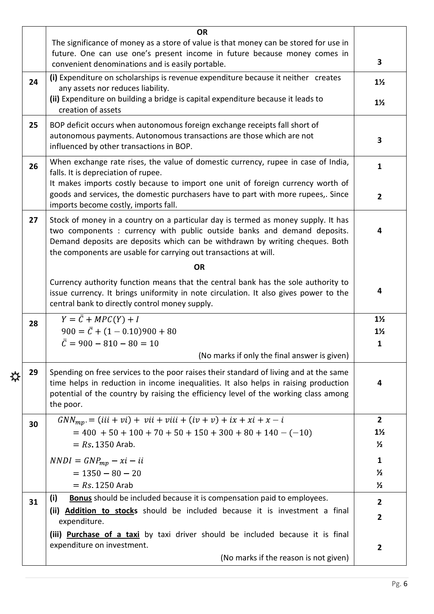|   |    | <b>OR</b>                                                                                                                                                                                                                                                                                                                                                                                                                                                                                                                         |                |  |  |  |  |  |  |
|---|----|-----------------------------------------------------------------------------------------------------------------------------------------------------------------------------------------------------------------------------------------------------------------------------------------------------------------------------------------------------------------------------------------------------------------------------------------------------------------------------------------------------------------------------------|----------------|--|--|--|--|--|--|
|   |    | The significance of money as a store of value is that money can be stored for use in                                                                                                                                                                                                                                                                                                                                                                                                                                              |                |  |  |  |  |  |  |
|   |    | future. One can use one's present income in future because money comes in                                                                                                                                                                                                                                                                                                                                                                                                                                                         |                |  |  |  |  |  |  |
|   |    | convenient denominations and is easily portable.                                                                                                                                                                                                                                                                                                                                                                                                                                                                                  |                |  |  |  |  |  |  |
|   | 24 | (i) Expenditure on scholarships is revenue expenditure because it neither creates<br>any assets nor reduces liability.                                                                                                                                                                                                                                                                                                                                                                                                            |                |  |  |  |  |  |  |
|   |    | (ii) Expenditure on building a bridge is capital expenditure because it leads to<br>creation of assets                                                                                                                                                                                                                                                                                                                                                                                                                            |                |  |  |  |  |  |  |
|   | 25 | BOP deficit occurs when autonomous foreign exchange receipts fall short of<br>autonomous payments. Autonomous transactions are those which are not<br>influenced by other transactions in BOP.                                                                                                                                                                                                                                                                                                                                    |                |  |  |  |  |  |  |
|   | 26 | When exchange rate rises, the value of domestic currency, rupee in case of India,<br>falls. It is depreciation of rupee.                                                                                                                                                                                                                                                                                                                                                                                                          |                |  |  |  |  |  |  |
|   |    | It makes imports costly because to import one unit of foreign currency worth of<br>goods and services, the domestic purchasers have to part with more rupees,. Since<br>imports become costly, imports fall.<br>Stock of money in a country on a particular day is termed as money supply. It has<br>two components : currency with public outside banks and demand deposits.<br>Demand deposits are deposits which can be withdrawn by writing cheques. Both<br>the components are usable for carrying out transactions at will. |                |  |  |  |  |  |  |
|   | 27 |                                                                                                                                                                                                                                                                                                                                                                                                                                                                                                                                   |                |  |  |  |  |  |  |
|   |    | <b>OR</b>                                                                                                                                                                                                                                                                                                                                                                                                                                                                                                                         |                |  |  |  |  |  |  |
|   |    | Currency authority function means that the central bank has the sole authority to<br>issue currency. It brings uniformity in note circulation. It also gives power to the<br>central bank to directly control money supply.                                                                                                                                                                                                                                                                                                       | 4              |  |  |  |  |  |  |
|   | 28 | $Y = \overline{C} + MPC(Y) + I$                                                                                                                                                                                                                                                                                                                                                                                                                                                                                                   | $1\frac{1}{2}$ |  |  |  |  |  |  |
|   |    | $900 = \bar{C} + (1 - 0.10)900 + 80$                                                                                                                                                                                                                                                                                                                                                                                                                                                                                              | $1\frac{1}{2}$ |  |  |  |  |  |  |
|   |    | $\overline{C} = 900 - 810 - 80 = 10$                                                                                                                                                                                                                                                                                                                                                                                                                                                                                              | $\mathbf{1}$   |  |  |  |  |  |  |
|   |    | (No marks if only the final answer is given)                                                                                                                                                                                                                                                                                                                                                                                                                                                                                      |                |  |  |  |  |  |  |
| ₩ | 29 | Spending on free services to the poor raises their standard of living and at the same<br>time helps in reduction in income inequalities. It also helps in raising production<br>potential of the country by raising the efficiency level of the working class among<br>the poor.                                                                                                                                                                                                                                                  |                |  |  |  |  |  |  |
|   | 30 | $GNN_{mn} = (iii + vi) + vii + viii + (iv + v) + ix + xi + x - i$                                                                                                                                                                                                                                                                                                                                                                                                                                                                 | $\overline{2}$ |  |  |  |  |  |  |
|   |    | $= 400 + 50 + 100 + 70 + 50 + 150 + 300 + 80 + 140 - (-10)$                                                                                                                                                                                                                                                                                                                                                                                                                                                                       | $1\frac{1}{2}$ |  |  |  |  |  |  |
|   |    | $= Rs 1350$ Arab.                                                                                                                                                                                                                                                                                                                                                                                                                                                                                                                 | $\frac{1}{2}$  |  |  |  |  |  |  |
|   |    | $NNDI = GNP_{mp} - xi - ii$                                                                                                                                                                                                                                                                                                                                                                                                                                                                                                       | $\mathbf{1}$   |  |  |  |  |  |  |
|   |    | $= 1350 - 80 - 20$                                                                                                                                                                                                                                                                                                                                                                                                                                                                                                                | $\frac{1}{2}$  |  |  |  |  |  |  |
|   |    | $= Rs 1250$ Arab                                                                                                                                                                                                                                                                                                                                                                                                                                                                                                                  | $\frac{1}{2}$  |  |  |  |  |  |  |
|   |    | <b>Bonus</b> should be included because it is compensation paid to employees.<br>(i)                                                                                                                                                                                                                                                                                                                                                                                                                                              |                |  |  |  |  |  |  |
|   | 31 | (ii) <b>Addition to stocks</b> should be included because it is investment a final                                                                                                                                                                                                                                                                                                                                                                                                                                                | $\overline{2}$ |  |  |  |  |  |  |
|   |    | expenditure.                                                                                                                                                                                                                                                                                                                                                                                                                                                                                                                      | $\overline{2}$ |  |  |  |  |  |  |
|   |    | (iii) Purchase of a taxi by taxi driver should be included because it is final<br>expenditure on investment.                                                                                                                                                                                                                                                                                                                                                                                                                      | $\overline{2}$ |  |  |  |  |  |  |
|   |    | (No marks if the reason is not given)                                                                                                                                                                                                                                                                                                                                                                                                                                                                                             |                |  |  |  |  |  |  |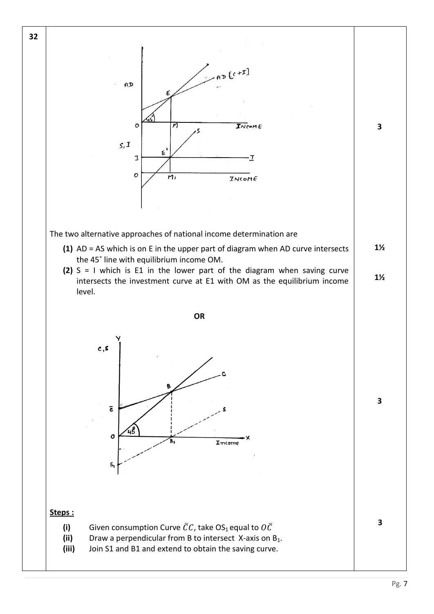